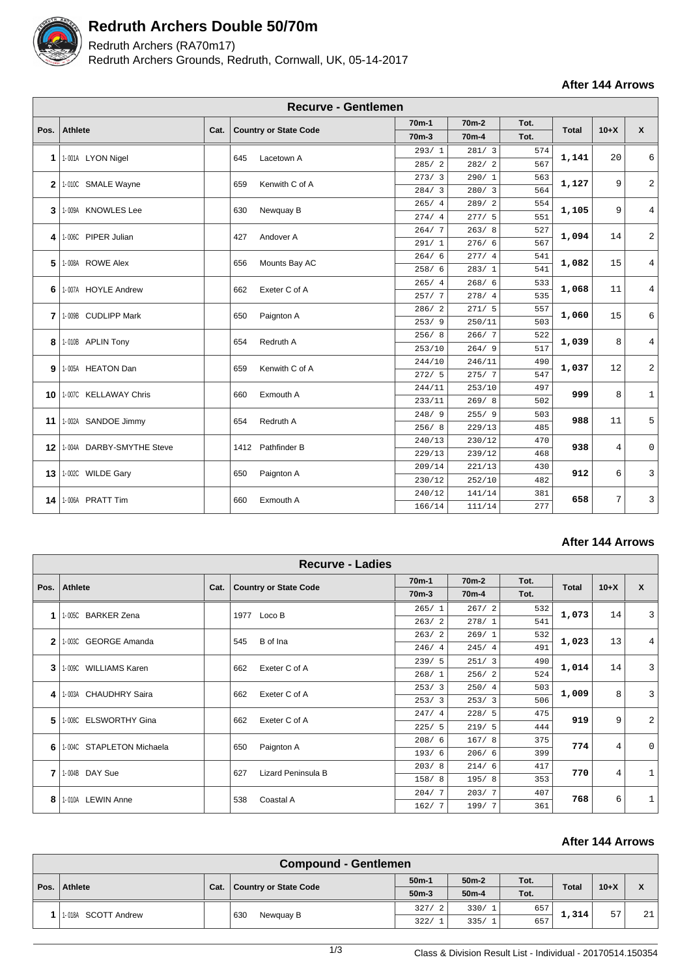

## **Redruth Archers Double 50/70m**

## Redruth Archers (RA70m17)

Redruth Archers Grounds, Redruth, Cornwall, UK, 05-14-2017

**After 144 Arrows**

|                | <b>Recurve - Gentlemen</b>    |      |     |                              |                    |                    |      |              |                |                |  |  |
|----------------|-------------------------------|------|-----|------------------------------|--------------------|--------------------|------|--------------|----------------|----------------|--|--|
|                |                               |      |     |                              | 70 <sub>m</sub> -1 | 70 <sub>m</sub> -2 | Tot. |              |                |                |  |  |
| Pos.           | <b>Athlete</b>                | Cat. |     | <b>Country or State Code</b> | 70 <sub>m</sub> -3 | 70 <sub>m</sub> -4 | Tot. | <b>Total</b> | $10+X$         | $\mathbf{x}$   |  |  |
|                |                               |      |     |                              | 293/1              | 281/3              | 574  |              | 20             | 6              |  |  |
| $\mathbf 1$    | 1-001A LYON Nigel             |      | 645 | Lacetown A                   | 285/2              | 282/2              | 567  | 1,141        |                |                |  |  |
| $\overline{2}$ | 1-010C SMALE Wayne            |      | 659 | Kenwith C of A               | 273/3              | 290/1              | 563  | 1,127        | 9              | 2              |  |  |
|                |                               |      |     |                              | 284/3              | 280/3              | 564  |              |                |                |  |  |
| 3              | 1-009A KNOWLES Lee            |      | 630 | Newquay B                    | 265/4              | 289/2              | 554  | 1,105        | 9              | 4              |  |  |
|                |                               |      |     |                              | 274/4              | 277/5              | 551  |              |                |                |  |  |
| 4              | 1-006C PIPER Julian           |      | 427 | Andover A                    | 264/7              | 263/8              | 527  | 1,094        | 14             | $\overline{a}$ |  |  |
|                |                               |      |     |                              | 291/1              | 276/6              | 567  |              |                |                |  |  |
| 5              | 1-008A ROWE Alex              |      | 656 | Mounts Bay AC                | 264/6              | 277/4              | 541  | 1,082        | 15             | 4              |  |  |
|                |                               |      |     |                              | 258/6              | 283/1              | 541  |              |                |                |  |  |
| 6              | 1-007A HOYLE Andrew           |      | 662 | Exeter C of A                | 265/4              | 268/6              | 533  | 1,068        | 11             | 4              |  |  |
|                |                               |      |     |                              | 257/7              | 278/4              | 535  |              |                |                |  |  |
| 7              | 1-009B CUDLIPP Mark           |      | 650 | Paignton A                   | 286/2              | 271/5              | 557  | 1,060        | 15             | 6              |  |  |
|                |                               |      |     |                              | 253/9              | 250/11             | 503  |              |                |                |  |  |
| 8              | 1-010B APLIN Tony             |      | 654 | Redruth A                    | 256/8              | 266/7              | 522  | 1,039        | 8              | $\overline{4}$ |  |  |
|                |                               |      |     |                              | 253/10             | 264/9              | 517  |              |                |                |  |  |
|                | 9 1-005A HEATON Dan           |      | 659 | Kenwith C of A               | 244/10             | 246/11             | 490  | 1,037        | 12             | 2              |  |  |
|                |                               |      |     |                              | 272/5              | 275/7              | 547  |              |                |                |  |  |
| 10             | 1-007C KELLAWAY Chris         |      | 660 | Exmouth A                    | 244/11             | 253/10             | 497  | 999          | 8              | $\mathbf{1}$   |  |  |
|                |                               |      |     |                              | 233/11             | 269/8              | 502  |              |                |                |  |  |
| 11             | 1-002A SANDOE Jimmy           |      | 654 | Redruth A                    | 248/9              | 255/9              | 503  | 988          | 11             | 5              |  |  |
|                |                               |      |     |                              | 256/8              | 229/13             | 485  |              |                |                |  |  |
|                | 12 1004A DARBY-SMYTHE Steve   |      |     | 1412 Pathfinder B            | 240/13             | 230/12             | 470  | 938          | $\overline{4}$ | 0              |  |  |
|                |                               |      |     |                              | 229/13             | 239/12             | 468  |              |                |                |  |  |
|                | <b>13   1-002C WILDE Gary</b> |      | 650 | Paignton A                   | 209/14             | 221/13             | 430  | 912          |                | 3              |  |  |
|                |                               |      |     |                              | 230/12             | 252/10             | 482  |              | 6              |                |  |  |
|                | 14   1-006A PRATT Tim         |      | 660 | Exmouth A                    | 240/12             | 141/14             | 381  | 658          | 7              | 3              |  |  |
|                |                               |      |     |                              | 166/14             | 111/14             | 277  |              |                |                |  |  |

### **After 144 Arrows**

|              |                                   |      | <b>Recurve - Ladies</b>      |                    |                    |      |              |                |                |
|--------------|-----------------------------------|------|------------------------------|--------------------|--------------------|------|--------------|----------------|----------------|
| Pos.         | Athlete                           |      |                              | $70m-1$            | 70 <sub>m</sub> -2 | Tot. | <b>Total</b> | $10+X$         | $\mathbf{x}$   |
|              |                                   | Cat. | <b>Country or State Code</b> | 70 <sub>m</sub> -3 | 70 <sub>m</sub> -4 | Tot. |              |                |                |
| 1            | 1-005C BARKER Zena                |      | Loco B<br>1977               | 265/1              | 267/2              | 532  | 1,073        | 14             | $\overline{3}$ |
|              |                                   |      |                              | 263/2              | 278/1              | 541  |              |                |                |
| $\mathbf{2}$ | 1-003C GEORGE Amanda              |      | B of Ina<br>545              | 263/2              | 269/1              | 532  | 1,023        | 13             | 4              |
|              |                                   |      |                              | 246/4              | 245/4              | 491  |              |                |                |
| 3            | <b>WILLIAMS Karen</b><br>1-009C   |      | Exeter C of A<br>662         | 239/5              | 251/3              | 490  | 1,014        | 14             | $\overline{3}$ |
|              |                                   |      |                              | 268/1              | 256/2              | 524  |              |                |                |
| 4            | <b>CHAUDHRY Saira</b><br>1-003A   |      | Exeter C of A<br>662         | 253/3              | 250/4              | 503  | 1,009        | 8              | $\overline{3}$ |
|              |                                   |      |                              | 253/3              | 253/3              | 506  |              |                |                |
| 5            | <b>ELSWORTHY Gina</b><br>$1-008C$ |      | Exeter C of A<br>662         | 247/4              | 228/5              | 475  | 919          | 9              | $\overline{a}$ |
|              |                                   |      |                              | 225/5              | 219/5              | 444  |              |                |                |
| 6            | 1-004C STAPLETON Michaela         |      | Paignton A<br>650            | 208/6              | 167/8              | 375  | 774          | 4              | $\mathbf{0}$   |
|              |                                   |      |                              | 193/6              | 206/6              | 399  |              |                |                |
| 7            | 1-004B DAY Sue                    |      | Lizard Peninsula B<br>627    | 203/8              | 214/6              | 417  | 770          | $\overline{4}$ | 1              |
|              |                                   |      |                              | 158/8              | 195/8              | 353  |              |                |                |
|              | 1-010A                            | 538  | Coastal A                    | 204/7              | 203/7              | 407  | 768          | 6              |                |
| 8            | <b>LEWIN Anne</b>                 |      |                              | 162/7              | 199/7              | 361  |              |                |                |

#### **After 144 Arrows**

|  | <b>Compound - Gentlemen</b> |      |                              |         |                 |      |              |        |            |  |  |
|--|-----------------------------|------|------------------------------|---------|-----------------|------|--------------|--------|------------|--|--|
|  | Pos.   Athlete              |      | <b>Country or State Code</b> | $50m-1$ | $50m-2$<br>Tot. |      |              |        | $\check{}$ |  |  |
|  |                             | Cat. |                              | $50m-3$ | $50m-4$         | Tot. | <b>Total</b> | $10+X$ | $\sqrt{ }$ |  |  |
|  | 1-018A SCOTT Andrew         |      | 630<br>Newquay B             | 327/    | 330/1           | 657  | 1,314        | 57     | 21         |  |  |
|  |                             |      |                              | 322/    | 335/1           | 657  |              |        |            |  |  |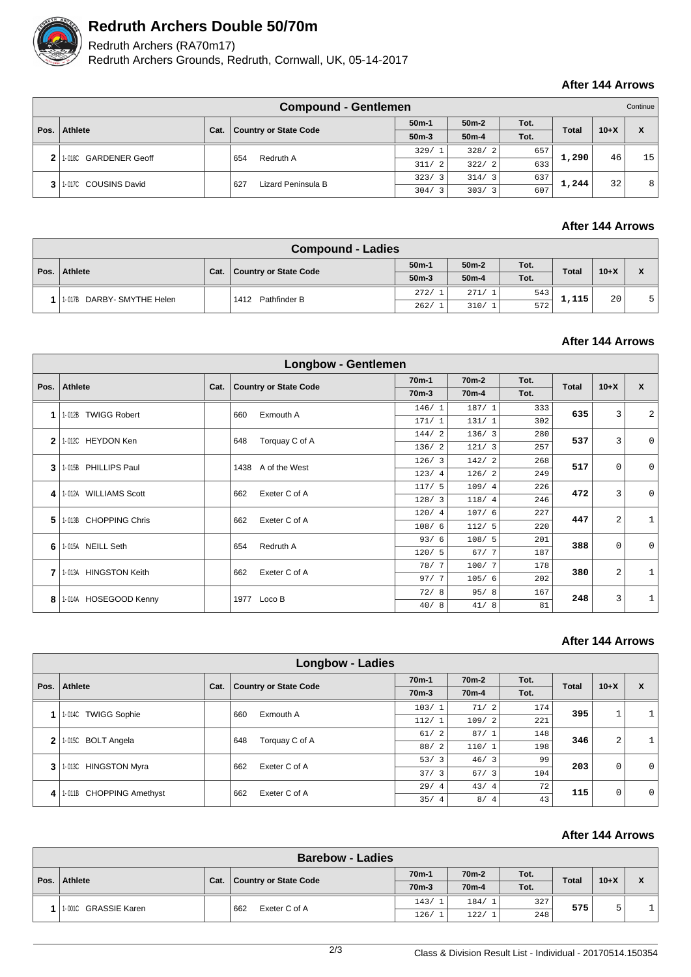

## **Redruth Archers Double 50/70m**

# Redruth Archers (RA70m17)

Redruth Archers Grounds, Redruth, Cornwall, UK, 05-14-2017

### **After 144 Arrows**

| <b>Compound - Gentlemen</b> |                       |      |                              |                        |                    |      |              |        | Continue <sup>1</sup> |
|-----------------------------|-----------------------|------|------------------------------|------------------------|--------------------|------|--------------|--------|-----------------------|
| Pos.                        | Athlete               |      |                              | $50m-1$                | $50m-2$            | Tot. | <b>Total</b> | $10+X$ | X                     |
|                             |                       | Cat. | <b>Country or State Code</b> | $50m-3$                | 50 <sub>m</sub> -4 | Tot. |              |        |                       |
| 2                           | 1-018C GARDENER Geoff |      | Redruth A<br>654             | 329/<br>$-1$           | 328/2              | 657  | 1,290        | 46     | 15                    |
|                             |                       |      |                              | 311/<br>$\overline{2}$ | 322/2              | 633  |              |        |                       |
| 3                           | 1-0170 COUSINS David  |      | 627<br>Lizard Peninsula B    | 323/<br>$\overline{3}$ | 314/3              | 637  | 1,244        | 32     | 8 <sup>1</sup>        |
|                             |                       |      |                              | 304/<br>$\mathcal{R}$  | 303/3              | 607  |              |        |                       |

### **After 144 Arrows**

|  | <b>Compound - Ladies</b>   |      |                       |         |         |      |              |        |                         |  |  |
|--|----------------------------|------|-----------------------|---------|---------|------|--------------|--------|-------------------------|--|--|
|  | Pos.   Athlete             | Cat. | Country or State Code | $50m-1$ | $50m-2$ | Tot. | <b>Total</b> | $10+X$ | $\overline{\mathbf{v}}$ |  |  |
|  |                            |      |                       | $50m-3$ | $50m-4$ | Tot. |              |        | $\sqrt{ }$              |  |  |
|  | 1-017B DARBY- SMYTHE Helen |      | Pathfinder B<br>1412  | 272/    | 271/1   | 543  | 1,115        | 20     |                         |  |  |
|  |                            |      |                       | 262/    | 310/1   | 572  |              |        |                         |  |  |

#### **After 144 Arrows**

|              | <b>Longbow - Gentlemen</b> |      |                              |                    |                    |      |              |                |                |  |  |  |
|--------------|----------------------------|------|------------------------------|--------------------|--------------------|------|--------------|----------------|----------------|--|--|--|
| Pos.         | Athlete                    | Cat. |                              | $70m-1$            | 70 <sub>m</sub> -2 | Tot. | <b>Total</b> | $10+X$         | $\mathbf{x}$   |  |  |  |
|              |                            |      | <b>Country or State Code</b> | 70 <sub>m</sub> -3 | 70 <sub>m</sub> -4 | Tot. |              |                |                |  |  |  |
| 1            | 1-012B TWIGG Robert        |      | Exmouth A<br>660             | 146/1              | 187/1              | 333  | 635          | 3              | $\overline{a}$ |  |  |  |
|              |                            |      |                              | 171/1              | 131/1              | 302  |              |                |                |  |  |  |
| $\mathbf{2}$ | 1-012C HEYDON Ken          |      | Torquay C of A<br>648        | 144/2              | 136/3              | 280  | 537          | 3              | $\mathbf 0$    |  |  |  |
|              |                            |      |                              | 136/2              | 121/3              | 257  |              |                |                |  |  |  |
| 3            | 1-015B PHILLIPS Paul       |      | 1438<br>A of the West        | 126/3              | 142/2              | 268  | 517          | $\mathbf 0$    | $\mathbf 0$    |  |  |  |
|              |                            |      |                              | 123/4              | 126/2              | 249  |              |                |                |  |  |  |
| 4            | 1-012A WILLIAMS Scott      |      | Exeter C of A<br>662         | 117/5              | 109/4              | 226  | 472          | 3              | $\mathbf 0$    |  |  |  |
|              |                            |      |                              | 128/3              | 118/4              | 246  |              |                |                |  |  |  |
| 5            | 1-013B CHOPPING Chris      |      | Exeter C of A<br>662         | 120/4              | 107/6              | 227  | 447          | $\overline{2}$ | $\mathbf{1}$   |  |  |  |
|              |                            |      |                              | 108/6              | 112/5              | 220  |              |                |                |  |  |  |
| 6            | 1-015A NEILL Seth          |      | Redruth A<br>654             | 93/6               | 108/5              | 201  | 388          | $\mathbf 0$    | $\Omega$       |  |  |  |
|              |                            |      |                              | 120/5              | 67/7               | 187  |              |                |                |  |  |  |
|              | 1-013A HINGSTON Keith      |      | Exeter C of A<br>662         | 78/7               | 100/7              | 178  | 380          | 2              | $\mathbf{1}$   |  |  |  |
| 7            |                            |      |                              | 97/7               | 105/6              | 202  |              |                |                |  |  |  |
| 8            | 1-014A HOSEGOOD Kenny      |      | 1977<br>Loco B               | 72/8               | 95/8               | 167  | 248          | 3              | $\mathbf{1}$   |  |  |  |
|              |                            |      |                              | 40/8               | 41/8               | 81   |              |                |                |  |  |  |

### **After 144 Arrows**

|              | <b>Longbow - Ladies</b>        |      |                              |                    |                    |      |       |             |             |  |  |  |
|--------------|--------------------------------|------|------------------------------|--------------------|--------------------|------|-------|-------------|-------------|--|--|--|
|              |                                |      |                              | 70 <sub>m</sub> -1 | 70 <sub>m</sub> -2 | Tot. |       | $10+X$      |             |  |  |  |
| Pos.         | Athlete                        | Cat. | <b>Country or State Code</b> | 70 <sub>m</sub> -3 | 70 <sub>m</sub> -4 | Tot. | Total |             | X           |  |  |  |
| 1            | 1-014C TWIGG Sophie            |      | 660<br>Exmouth A             | 103/1              | 71/2               | 174  | 395   | $\mathbf 1$ | 1           |  |  |  |
|              |                                |      |                              | 112/1              | 109/2              | 221  |       |             |             |  |  |  |
| $\mathbf{2}$ | 1-015C BOLT Angela             |      | 648<br>Torquay C of A        | 61/2               | 87/1               | 148  | 346   | 2           | 1           |  |  |  |
|              |                                |      |                              | 88/2               | 110/1              | 198  |       |             |             |  |  |  |
| 3            | <b>HINGSTON Myra</b><br>1-013C |      | Exeter C of A<br>662         | 53/3               | 46/3               | 99   | 203   | 0           | $\Omega$    |  |  |  |
|              |                                |      |                              | 37/3               | 67/3               | 104  |       |             |             |  |  |  |
| 4 I          | 1-011B CHOPPING Amethyst       |      | 662<br>Exeter C of A         | 29/4               | 43/4               | 72   | 115   |             | $\mathbf 0$ |  |  |  |
|              |                                |      |                              | 35/4               | 8/4                | 43   |       | 0           |             |  |  |  |

#### **After 144 Arrows**

|      | <b>Barebow - Ladies</b> |      |                       |                    |                    |      |              |        |                           |  |  |
|------|-------------------------|------|-----------------------|--------------------|--------------------|------|--------------|--------|---------------------------|--|--|
|      | Athlete                 |      |                       | 70 <sub>m</sub> -1 | 70 <sub>m</sub> -2 | Tot. | <b>Total</b> | $10+X$ | $\mathbf v$<br>$\sqrt{ }$ |  |  |
| Pos. |                         | Cat. | Country or State Code | $70m-3$            | 70 <sub>m</sub> -4 | Tot. |              |        |                           |  |  |
|      | 1-001C GRASSIE Karen    |      | 662<br>Exeter C of A  | 143/1              | 184/               | 327  | 575          | כ      |                           |  |  |
|      |                         |      |                       | 126/               | 122/               | 248  |              |        |                           |  |  |